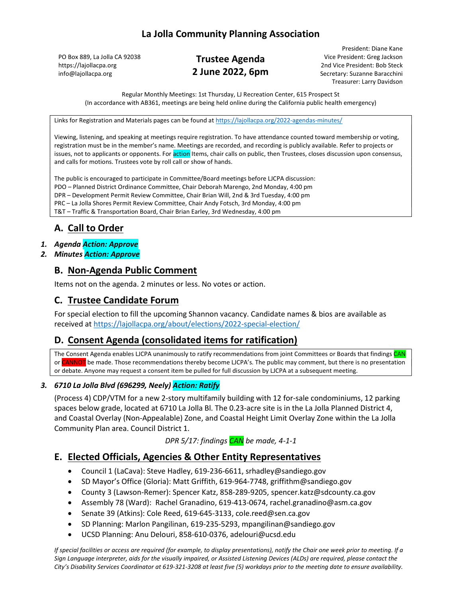PO Box 889, La Jolla CA 92038 https://lajollacpa.org info@lajollacpa.org

# Trustee Agenda 2 June 2022, 6pm

President: Diane Kane Vice President: Greg Jackson 2nd Vice President: Bob Steck Secretary: Suzanne Baracchini Treasurer: Larry Davidson

Regular Monthly Meetings: 1st Thursday, LJ Recreation Center, 615 Prospect St (In accordance with AB361, meetings are being held online during the California public health emergency)

Links for Registration and Materials pages can be found at https://lajollacpa.org/2022-agendas-minutes/

Viewing, listening, and speaking at meetings require registration. To have attendance counted toward membership or voting, registration must be in the member's name. Meetings are recorded, and recording is publicly available. Refer to projects or issues, not to applicants or opponents. For action Items, chair calls on public, then Trustees, closes discussion upon consensus, and calls for motions. Trustees vote by roll call or show of hands.

The public is encouraged to participate in Committee/Board meetings before LJCPA discussion: PDO – Planned District Ordinance Committee, Chair Deborah Marengo, 2nd Monday, 4:00 pm DPR – Development Permit Review Committee, Chair Brian Will, 2nd & 3rd Tuesday, 4:00 pm PRC – La Jolla Shores Permit Review Committee, Chair Andy Fotsch, 3rd Monday, 4:00 pm T&T – Traffic & Transportation Board, Chair Brian Earley, 3rd Wednesday, 4:00 pm

# A. Call to Order

#### 1. Agenda Action: Approve

2. Minutes Action: Approve

## B. Non-Agenda Public Comment

Items not on the agenda. 2 minutes or less. No votes or action.

### C. Trustee Candidate Forum

For special election to fill the upcoming Shannon vacancy. Candidate names & bios are available as received at https://lajollacpa.org/about/elections/2022-special-election/

#### D. Consent Agenda (consolidated items for ratification)

The Consent Agenda enables LJCPA unanimously to ratify recommendations from joint Committees or Boards that findings CAN or CANNOT be made. Those recommendations thereby become LJCPA's. The public may comment, but there is no presentation or debate. Anyone may request a consent item be pulled for full discussion by LJCPA at a subsequent meeting.

#### 3. 6710 La Jolla Blvd (696299, Neely) Action: Ratify

(Process 4) CDP/VTM for a new 2-story multifamily building with 12 for-sale condominiums, 12 parking spaces below grade, located at 6710 La Jolla Bl. The 0.23-acre site is in the La Jolla Planned District 4, and Coastal Overlay (Non-Appealable) Zone, and Coastal Height Limit Overlay Zone within the La Jolla Community Plan area. Council District 1.

DPR 5/17: findings CAN be made, 4-1-1

## E. Elected Officials, Agencies & Other Entity Representatives

- Council 1 (LaCava): Steve Hadley, 619-236-6611, srhadley@sandiego.gov
- SD Mayor's Office (Gloria): Matt Griffith, 619-964-7748, griffithm@sandiego.gov
- County 3 (Lawson-Remer): Spencer Katz, 858-289-9205, spencer.katz@sdcounty.ca.gov
- Assembly 78 (Ward): Rachel Granadino, 619-413-0674, rachel.granadino@asm.ca.gov
- Senate 39 (Atkins): Cole Reed, 619-645-3133, cole.reed@sen.ca.gov
- SD Planning: Marlon Pangilinan, 619-235-5293, mpangilinan@sandiego.gov
- UCSD Planning: Anu Delouri, 858-610-0376, adelouri@ucsd.edu

If special facilities or access are required (for example, to display presentations), notify the Chair one week prior to meeting. If a Sign Language interpreter, aids for the visually impaired, or Assisted Listening Devices (ALDs) are required, please contact the City's Disability Services Coordinator at 619-321-3208 at least five (5) workdays prior to the meeting date to ensure availability.